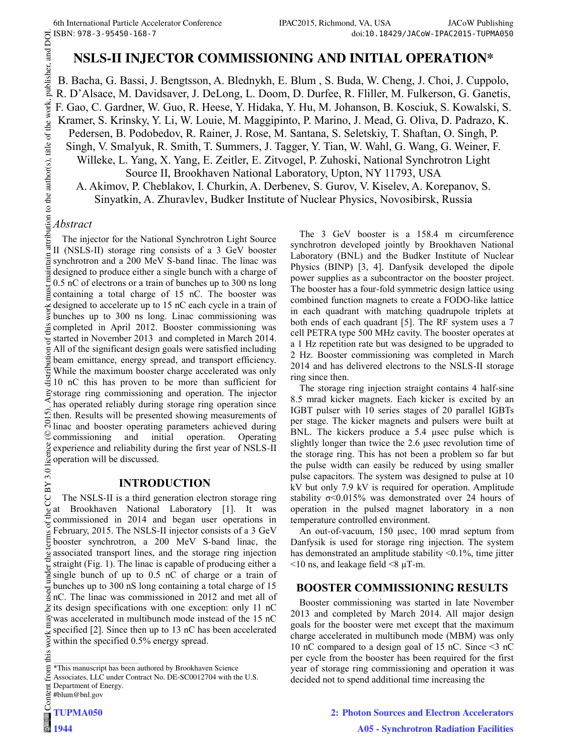FAC2015, Richmond, VA, USA<br>
SI ISBN: 978-3-95450-168-7<br> **NSLS-II INJECTOR COMMISSIONING AND INITIAL OPERATION\***<br>
<sup>E</sup><br> **NSLS-II INJECTOR COMMISSIONING AND INITIAL OPERATION\***<br>
B. Bacha, G. Bassi, J. Bengtsson, A. Blednykh, B. Bacha, G. Bassi, J. Bengtsson, A. Blednykh, E. Blum , S. Buda, W. Cheng, J. Choi, J. Cuppolo, R. D'Alsace, M. Davidsaver, J. DeLong, L. Doom, D. Durfee, R. Fliller, M. Fulkerson, G. Ganetis, F. Gao, C. Gardner, W. Guo, R. Heese, Y. Hidaka, Y. Hu, M. Johanson, B. Kosciuk, S. Kowalski, S. Kramer, S. Krinsky, Y. Li, W. Louie, M. Maggipinto, P. Marino, J. Mead, G. Oliva, D. Padrazo, K. Pedersen, B. Podobedov, R. Rainer, J. Rose, M. Santana, S. Seletskiy, T. Shaftan, O. Singh, P. Singh, V. Smalyuk, R. Smith, T. Summers, J. Tagger, Y. Tian, W. Wahl, G. Wang, G. Weiner, F. Willeke, L. Yang, X. Yang, E. Zeitler, E. Zitvogel, P. Zuhoski, National Synchrotron Light Source II, Brookhaven National Laboratory, Upton, NY 11793, USA

A. Akimov, P. Cheblakov, I. Churkin, A. Derbenev, S. Gurov, V. Kiselev, A. Korepanov, S. Sinyatkin, A. Zhuravlev, Budker Institute of Nuclear Physics, Novosibirsk, Russia

# *Abstract*

The injector for the National Synchrotron Light Source II (NSLS-II) storage ring consists of a 3 GeV booster synchrotron and a 200 MeV S-band linac. The linac was designed to produce either a single bunch with a charge of 0.5 nC of electrons or a train of bunches up to 300 ns long containing a total charge of 15 nC. The booster was designed to accelerate up to 15 nC each cycle in a train of bunches up to 300 ns long. Linac commissioning was  $\frac{20}{2}$  completed in April 2012. Booster commissioning was started in November 2013 and completed in March 2014. All of the significant design goals were satisfied including beam emittance, energy spread, and transport efficiency. While the maximum booster charge accelerated was only 10 nC this has proven to be more than sufficient for storage ring commissioning and operation. The injector has operated reliably during storage ring operation since  $\Omega$  then. Results will be presented showing measurements of  $\mathbb{R}$  linac and booster operating parameters achieved during commissioning and initial operation. Operating experience and reliability during the first year of NSLS-II operation will be discussed. ©

## **INTRODUCTION**

Content from this work may be used under the terms of the CC BY 3.0 licence ( $\epsilon$ BY 3.0 g The NSLS-II is a third generation electron storage ring<br>at Brookhaven National Laboratory [1]. It was at Brookhaven National Laboratory [1]. It was commissioned in 2014 and began user operations in February, 2015. The NSLS-II injector consists of a 3 GeV booster synchrotron, a 200 MeV S-band linac, the associated transport lines, and the storage ring injection straight (Fig. 1). The linac is capable of producing either a **b** single bunch of up to 0.5 nC of charge or a train of bunches up to 300 nS long containing a total charge of 15  $\frac{3}{4}$  nC. The linac was commissioned in 2012 and met all of  $\&$  its design specifications with one exception: only 11 nC was accelerated in multibunch mode instead of the 15 nC specified [2]. Since then up to 13 nC has been accelerated work<sub>1</sub> within the specified 0.5% energy spread.

this

The 3 GeV booster is a 158.4 m circumference synchrotron developed jointly by Brookhaven National Laboratory (BNL) and the Budker Institute of Nuclear Physics (BINP) [3, 4]. Danfysik developed the dipole power supplies as a subcontractor on the booster project. The booster has a four-fold symmetric design lattice using combined function magnets to create a FODO-like lattice in each quadrant with matching quadrupole triplets at both ends of each quadrant [5]. The RF system uses a 7 cell PETRA type 500 MHz cavity. The booster operates at a 1 Hz repetition rate but was designed to be upgraded to 2 Hz. Booster commissioning was completed in March 2014 and has delivered electrons to the NSLS-II storage ring since then.

The storage ring injection straight contains 4 half-sine 8.5 mrad kicker magnets. Each kicker is excited by an IGBT pulser with 10 series stages of 20 parallel IGBTs per stage. The kicker magnets and pulsers were built at BNL. The kickers produce a 5.4 μsec pulse which is slightly longer than twice the 2.6 μsec revolution time of the storage ring. This has not been a problem so far but the pulse width can easily be reduced by using smaller pulse capacitors. The system was designed to pulse at 10 kV but only 7.9 kV is required for operation. Amplitude stability  $\sigma$ <0.015% was demonstrated over 24 hours of operation in the pulsed magnet laboratory in a non temperature controlled environment.

An out-of-vacuum, 150 μsec, 100 mrad septum from Danfysik is used for storage ring injection. The system has demonstrated an amplitude stability <0.1%, time jitter  $\leq$ 10 ns, and leakage field  $\leq$ 8  $\mu$ T-m.

# **BOOSTER COMMISSIONING RESULTS**

Booster commissioning was started in late November 2013 and completed by March 2014. All major design goals for the booster were met except that the maximum charge accelerated in multibunch mode (MBM) was only 10 nC compared to a design goal of 15 nC. Since <3 nC per cycle from the booster has been required for the first year of storage ring commissioning and operation it was decided not to spend additional time increasing the

\_\_\_\_\_\_\_\_\_\_\_\_\_\_\_\_\_\_\_\_\_\_\_\_\_\_\_\_\_\_\_\_\_\_\_\_\_\_\_\_\_\_\_\_ from \*This manuscript has been authored by Brookhaven Science Associates, LLC under Contract No. DE-SC0012704 with the U.S. Department of Energy. **Tent** #blum@bnl.gov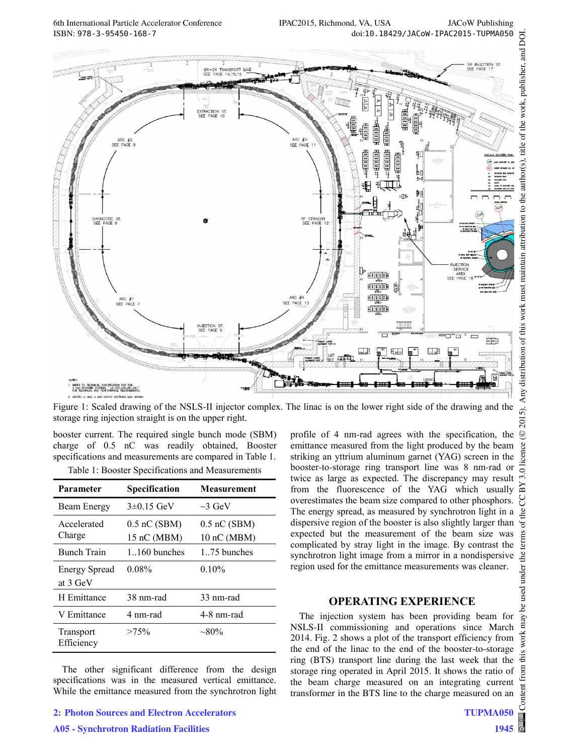

Figure 1: Scaled drawing of the NSLS-II injector complex. The linac is on the lower right side of the drawing and the storage ring injection straight is on the upper right.

booster current. The required single bunch mode (SBM) charge of 0.5 nC was readily obtained, Booster specifications and measurements are compared in Table 1.

|  |  | Table 1: Booster Specifications and Measurements |
|--|--|--------------------------------------------------|
|--|--|--------------------------------------------------|

| Parameter                        | Specification                 | <b>Measurement</b>            |
|----------------------------------|-------------------------------|-------------------------------|
| Beam Energy                      | $3\pm0.15$ GeV                | $\sim$ 3 GeV                  |
| Accelerated<br>Charge            | $0.5$ nC (SBM)<br>15 nC (MBM) | $0.5$ nC (SBM)<br>10 nC (MBM) |
| <b>Bunch Train</b>               | $1.160$ bunches               | 1.75 bunches                  |
| <b>Energy Spread</b><br>at 3 GeV | $0.08\%$                      | 0.10%                         |
| H Emittance                      | 38 nm-rad                     | 33 nm-rad                     |
| V Emittance                      | 4 nm-rad                      | 4-8 nm-rad                    |
| Transport<br>Efficiency          | $>75\%$                       | $\sim 80\%$                   |

The other significant difference from the design specifications was in the measured vertical emittance. While the emittance measured from the synchrotron light

**A05 - Synchrotron Radiation Facilities**

profile of 4 nm-rad agrees with the specification, the emittance measured from the light produced by the beam striking an yttrium aluminum garnet (YAG) screen in the booster-to-storage ring transport line was 8 nm-rad or twice as large as expected. The discrepancy may result from the fluorescence of the YAG which usually overestimates the beam size compared to other phosphors. The energy spread, as measured by synchrotron light in a dispersive region of the booster is also slightly larger than expected but the measurement of the beam size was complicated by stray light in the image. By contrast the synchrotron light image from a mirror in a nondispersive region used for the emittance measurements was cleaner.

## **OPERATING EXPERIENCE**

The injection system has been providing beam for NSLS-II commissioning and operations since March 2014. Fig. 2 shows a plot of the transport efficiency from the end of the linac to the end of the booster-to-storage ring (BTS) transport line during the last week that the storage ring operated in April 2015. It shows the ratio of the beam charge measured on an integrating current transformer in the BTS line to the charge measured on an